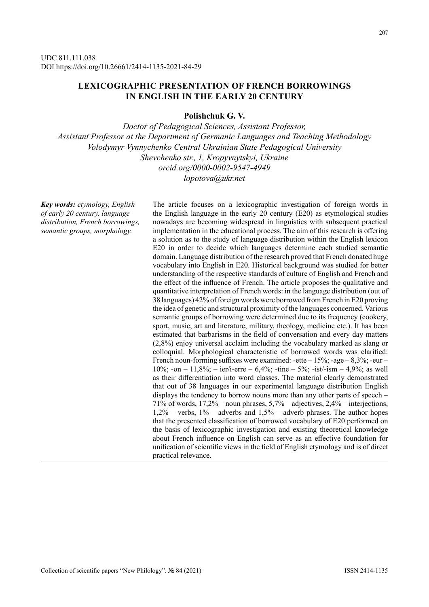# **LEXICOGRAPHIC PRESENTATION OF FRENCH BORROWINGS IN ENGLISH IN THE EARLY 20 CENTURY**

**Polishchuk G. V.**

*Doctor of Pedagogical Sciences, Assistant Professor, Assistant Professor at the Department of Germanic Languages and Teaching Methodology Volodymyr Vynnychenko Central Ukrainian State Pedagogical University Shevchenko str., 1, Kropyvnytskyi, Ukraine orcid.org/0000-0002-9547-4949 lopotova@ukr.net*

*Key words: etymology, English of early 20 century, language distribution, French borrowings, semantic groups, morphology.*

The article focuses on a lexicographic investigation of foreign words in the English language in the early 20 century (E20) as etymological studies nowadays are becoming widespread in linguistics with subsequent practical implementation in the educational process. The aim of this research is offering a solution as to the study of language distribution within the English lexicon E20 in order to decide which languages determine each studied semantic domain. Language distribution of the research proved that French donated huge vocabulary into English in E20. Historical background was studied for better understanding of the respective standards of culture of English and French and the effect of the influence of French. The article proposes the qualitative and quantitative interpretation of French words: in the language distribution (out of 38 languages) 42% of foreign words were borrowed from French in E20 proving the idea of genetic and structural proximity of the languages concerned. Various semantic groups of borrowing were determined due to its frequency (cookery, sport, music, art and literature, military, theology, medicine etc.). It has been estimated that barbarisms in the field of conversation and every day matters (2,8%) enjoy universal acclaim including the vocabulary marked as slang or colloquial. Morphological characteristic of borrowed words was clarified: French noun-forming suffixes were examined: -ette  $-15\%$ ; -age  $-8,3\%$ ; -eur – 10%; -on – 11,8%; – ier/i-erre – 6,4%; -tine – 5%; -ist/-ism – 4,9%; as well as their differentiation into word classes. The material clearly demonstrated that out of 38 languages in our experimental language distribution English displays the tendency to borrow nouns more than any other parts of speech – 71% of words,  $17,2\%$  – noun phrases,  $5,7\%$  – adjectives,  $2,4\%$  – interjections,  $1,2\%$  – verbs,  $1\%$  – adverbs and  $1,5\%$  – adverb phrases. The author hopes that the presented classification of borrowed vocabulary of E20 performed on the basis of lexicographic investigation and existing theoretical knowledge about French influence on English can serve as an effective foundation for unification of scientific views in the field of English etymology and is of direct practical relevance.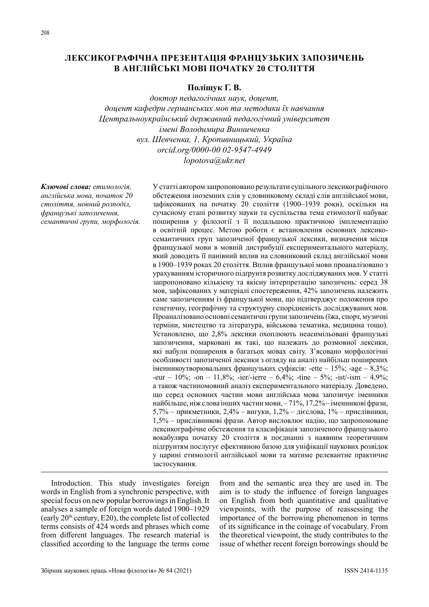## **ЛЕКСИКОГРАФІЧНА ПРЕЗЕНТАЦІЯ ФРАНЦУЗЬКИХ ЗАПОЗИЧЕНЬ В АНГЛІЙСЬКІ МОВІ ПОЧАТКУ 20 СТОЛІТТЯ**

## **Поліщук Г. В.**

*доктор педагогічних наук, доцент, доцент кафедри германських мов та методики їх навчання Центральноукраїнський державний педагогічний університет імені Володимира Винниченка вул. Шевченка, 1, Кропивницький, Україна orcid.org/0000-00 02-9547-4949 lopotova@ukr.net*

*Ключові слова: етимологія, англійська мова, початок 20 століття, мовний розподіл, французькі запозичення, семантичні групи, морфологія.*

У статті автором запропоновано результати суцільного лексикографічного обстеження іноземних слів у словниковому складі слів англійської мови, зафіксованих на початку 20 століття (1900–1939 роки), оскільки на сучасному етапі розвитку науки та суспільства тема етимології набуває поширення у філології з її подальшою практичною імплементацію в освітній процес. Метою роботи є встановлення основних лексикосемантичних груп запозиченої французької лексики, визначення місця французької мови в мовній дистрибуції експериментального матеріалу, який доводить її панівний вплив на словниковий склад англійської мови в 1900–1939 роках 20 століття. Вплив французької мови проаналізовано з урахуванням історичного підґрунтя розвитку досліджуваних мов. У статті запропоновано кількісну та якісну інтерпретацію запозичень: серед 38 мов, зафіксованих у матеріалі спостереження, 42% запозичень належить саме запозиченням із французької мови, що підтверджує положення про генетичну, географічну та структурну спорідненість досліджуваних мов. Проаналізовано основні семантичні групи запозичень (їжа, спорт, музичні терміни, мистецтво та література, військова тематика, медицина тощо). Установлено, що 2,8% лексики охоплюють неасимільовані французькі запозичення, марковані як такі, що належать до розмовної лексики, які набули поширення в багатьох мовах світу. З'ясовано морфологічні особливості запозиченої лексики з огляду на аналіз найбільш поширених іменникоутворювальних французьких суфіксів: -ette – 15%; -age – 8,3%; -eur –  $10\%$ ; -on –  $11,8\%$ ; -ier/-ierre –  $6,4\%$ ; -tine –  $5\%$ ; -ist/-ism –  $4,9\%$ ; а також частиномовний аналіз експериментального матеріалу. Доведено, що серед основних частин мови англійська мова запозичує іменники найбільше, ніж слова інших частин мови, – 71%, 17,2% – іменникові фрази, 5,7% – прикметники, 2,4% – вигуки, 1,2% – дієслова, 1% – прислівники, 1,5% – прислівникові фрази. Автор висловлює надію, що запропоноване лексикографічне обстеження та класифікація запозиченого французького вокабуляра початку 20 століття в поєднанні з наявним теоретичним підґрунтям послугує ефективною базою для уніфікації наукових розвідок у царині етимології англійської мови та матиме релевантне практичне застосування.

Introduction. This study investigates foreign words in English from a synchronic perspective, with special focus on new popular borrowings in English. It analyses a sample of foreign words dated 1900–1929 (early  $20<sup>th</sup>$  century, E20), the complete list of collected terms consists of 424 words and phrases which come from different languages. The research material is classified according to the language the terms come

from and the semantic area they are used in. The aim is to study the influence of foreign languages on English from both quantitative and qualitative viewpoints, with the purpose of reassessing the importance of the borrowing phenomenon in terms of its significance in the coinage of vocabulary. From the theoretical viewpoint, the study contributes to the issue of whether recent foreign borrowings should be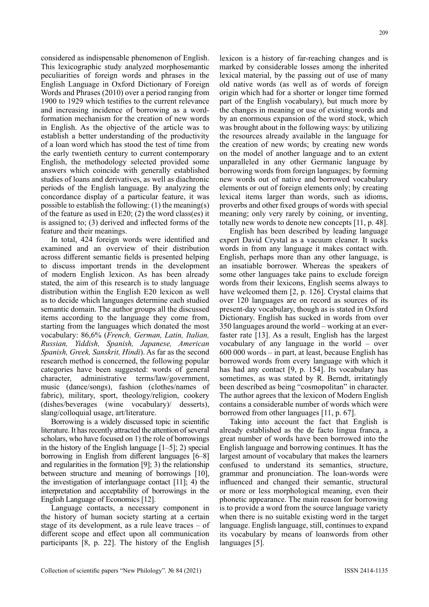considered as indispensable phenomenon of English. This lexicographic study analyzed morphosemantic peculiarities of foreign words and phrases in the English Language in Oxford Dictionary of Foreign Words and Phrases (2010) over a period ranging from 1900 to 1929 which testifies to the current relevance and increasing incidence of borrowing as a wordformation mechanism for the creation of new words in English. As the objective of the article was to establish a better understanding of the productivity of a loan word which has stood the test of time from the early twentieth century to current contemporary English, the methodology selected provided some answers which coincide with generally established studies of loans and derivatives, as well as diachronic periods of the English language. By analyzing the concordance display of a particular feature, it was possible to establish the following: (1) the meaning(s) of the feature as used in E20; (2) the word class(es) it is assigned to; (3) derived and inflected forms of the feature and their meanings.

In total, 424 foreign words were identified and examined and an overview of their distribution across different semantic fields is presented helping to discuss important trends in the development of modern English lexicon. As has been already stated, the aim of this research is to study language distribution within the English E20 lexicon as well as to decide which languages determine each studied semantic domain. The author groups all the discussed items according to the language they come from, starting from the languages which donated the most vocabulary: 86,6% (*French, German, Latin, Italian, Russian, Yiddish, Spanish, Japanese, American Spanish, Greek, Sanskrit, Hindi*). As far as the second research method is concerned, the following popular categories have been suggested: words of general character, administrative terms/law/government, music (dance/songs), fashion (clothes/names of fabric), military, sport, theology/religion, cookery (dishes/beverages (wine vocabulary)/ desserts), slang/colloquial usage, art/literature.

Borrowing is a widely discussed topic in scientific literature. It has recently attracted the attention of several scholars, who have focused on 1) the role of borrowings in the history of the English language  $[1-5]$ ; 2) special borrowing in English from different languages [6–8] and regularities in the formation [9]; 3) the relationship between structure and meaning of borrowings [10], the investigation of interlanguage contact [11]; 4) the interpretation and acceptability of borrowings in the English Language of Economics [12].

Language contacts, a necessary component in the history of human society starting at a certain stage of its development, as a rule leave traces – of different scope and effect upon all communication participants [8, p. 22]. The history of the English lexicon is a history of far-reaching changes and is marked by considerable losses among the inherited lexical material, by the passing out of use of many old native words (as well as of words of foreign origin which had for a shorter or longer time formed part of the English vocabulary), but much more by the changes in meaning or use of existing words and by an enormous expansion of the word stock, which was brought about in the following ways: by utilizing the resources already available in the language for the creation of new words; by creating new words on the model of another language and to an extent unparalleled in any other Germanic language by borrowing words from foreign languages; by forming new words out of native and borrowed vocabulary elements or out of foreign elements only; by creating lexical items larger than words, such as idioms, proverbs and other fixed groups of words with special meaning; only very rarely by coining, or inventing, totally new words to denote new concepts [11, p. 48].

English has been described by leading language expert David Crystal as a vacuum cleaner. It sucks words in from any language it makes contact with. English, perhaps more than any other language, is an insatiable borrower. Whereas the speakers of some other languages take pains to exclude foreign words from their lexicons, English seems always to have welcomed them [2, p. 126]. Crystal claims that over 120 languages are on record as sources of its present-day vocabulary, though as is stated in Oxford Dictionary. English has sucked in words from over 350 languages around the world – working at an everfaster rate [13]. As a result, English has the largest vocabulary of any language in the world – over 600 000 words – in part, at least, because English has borrowed words from every language with which it has had any contact [9, p. 154]. Its vocabulary has sometimes, as was stated by R. Berndt, irritatingly been described as being "cosmopolitan" in character. The author agrees that the lexicon of Modern English contains a considerable number of words which were borrowed from other languages [11, p. 67].

Taking into account the fact that English is already established as the de facto lingua franca, a great number of words have been borrowed into the English language and borrowing continues. It has the largest amount of vocabulary that makes the learners confused to understand its semantics, structure, grammar and pronunciation. The loan-words were influenced and changed their semantic, structural or more or less morphological meaning, even their phonetic appearance. The main reason for borrowing is to provide a word from the source language variety when there is no suitable existing word in the target language. English language, still, continues to expand its vocabulary by means of loanwords from other languages [5].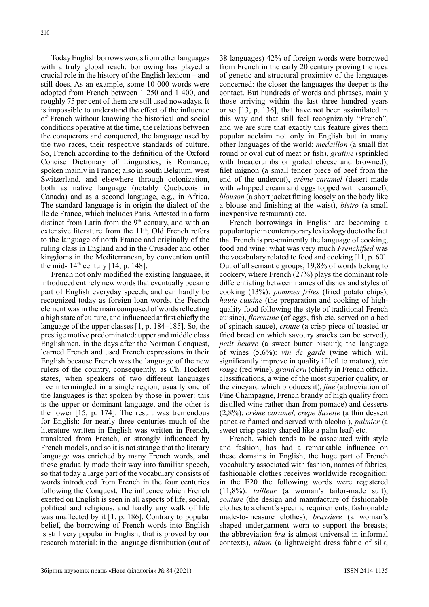Today English borrows words from other languages with a truly global reach: borrowing has played a crucial role in the history of the English lexicon – and still does. As an example, some 10 000 words were adopted from French between 1 250 and 1 400, and roughly 75 per cent of them are still used nowadays. It is impossible to understand the effect of the influence of French without knowing the historical and social conditions operative at the time, the relations between the conquerors and conquered, the language used by the two races, their respective standards of culture. So, French according to the definition of the Oxford Concise Dictionary of Linguistics, is Romance, spoken mainly in France; also in south Belgium, west Switzerland, and elsewhere through colonization, both as native language (notably Quebecois in Canada) and as a second language, e.g., in Africa. The standard language is in origin the dialect of the Ile de France, which includes Paris. Attested in a form distinct from Latin from the  $9<sup>th</sup>$  century, and with an extensive literature from the 11<sup>th</sup>; Old French refers to the language of north France and originally of the ruling class in England and in the Crusader and other kingdoms in the Mediterranean, by convention until the mid-  $14<sup>th</sup>$  century [14, p. 148].

French not only modified the existing language, it introduced entirely new words that eventually became part of English everyday speech, and can hardly be recognized today as foreign loan words, the French element was in the main composed of words reflecting a high state of culture, and influenced at first chiefly the language of the upper classes [1, p. 184–185]. So, the prestige motive predominated: upper and middle class Englishmen, in the days after the Norman Conquest, learned French and used French expressions in their English because French was the language of the new rulers of the country, consequently, as Ch. Hockett states, when speakers of two different languages live intermingled in a single region, usually one of the languages is that spoken by those in power: this is the upper or dominant language, and the other is the lower [15, p. 174]. The result was tremendous for English: for nearly three centuries much of the literature written in English was written in French, translated from French, or strongly influenced by French models, and so it is not strange that the literary language was enriched by many French words, and these gradually made their way into familiar speech, so that today a large part of the vocabulary consists of words introduced from French in the four centuries following the Conquest. The influence which French exerted on English is seen in all aspects of life, social, political and religious, and hardly any walk of life was unaffected by it [1, p. 186]. Contrary to popular belief, the borrowing of French words into English is still very popular in English, that is proved by our research material: in the language distribution (out of

38 languages) 42% of foreign words were borrowed from French in the early 20 century proving the idea of genetic and structural proximity of the languages concerned: the closer the languages the deeper is the contact. But hundreds of words and phrases, mainly those arriving within the last three hundred years or so [13, p. 136], that have not been assimilated in this way and that still feel recognizably "French", and we are sure that exactly this feature gives them popular acclaim not only in English but in many other languages of the world: *medaillon* (a small flat round or oval cut of meat or fish), *gratine* (sprinkled with breadcrumbs or grated cheese and browned), filet mignon (a small tender piece of beef from the end of the undercut), *crème caramel* (desert made with whipped cream and eggs topped with caramel). *blouson* (a short jacket fitting loosely on the body like a blouse and finishing at the waist), *bistro* (a small inexpensive restaurant) etc.

French borrowings in English are becoming a popular topic in contemporary lexicology due to the fact that French is pre-eminently the language of cooking, food and wine: what was very much *Frenchified* was the vocabulary related to food and cooking [11, p. 60]. Out of all semantic groups, 19,8% of words belong to cookery, where French (27%) plays the dominant role differentiating between names of dishes and styles of cooking (13%): *pommes frites* (fried potato chips), *haute cuisine* (the preparation and cooking of highquality food following the style of traditional French cuisine), *florentine* (of eggs, fish etc. served on a bed of spinach sauce), *croute* (a crisp piece of toasted or fried bread on which savoury snacks can be served), *petit beurre* (a sweet butter biscuit); the language of wines (5,6%): *vin de garde* (wine which will significantly improve in quality if left to mature), *vin rouge* (red wine), *grand cru* (chiefly in French official classifications, a wine of the most superior quality, or the vineyard which produces it), *fine* (abbreviation of Fine Champagne, French brandy of high quality from distilled wine rather than from pomace) and desserts (2,8%): *crème caramel, crepe Suzette* (a thin dessert pancake flamed and served with alcohol), *palmier* (a sweet crisp pastry shaped like a palm leaf) etc.

French, which tends to be associated with style and fashion, has had a remarkable influence on these domains in English, the huge part of French vocabulary associated with fashion, names of fabrics, fashionable clothes receives worldwide recognition: in the E20 the following words were registered (11,8%): *tailleur* (a woman's tailor-made suit), *couture* (the design and manufacture of fashionable clothes to a client's specific requirements; fashionable made-to-measure clothes), *brassiere* (a woman's shaped undergarment worn to support the breasts; the abbreviation *bra* is almost universal in informal contexts), *ninon* (a lightweight dress fabric of silk,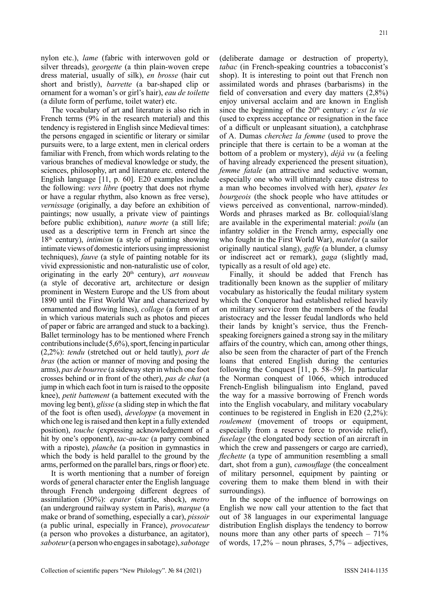nylon etc.), *lame* (fabric with interwoven gold or silver threads), *georgette* (a thin plain-woven crepe dress material, usually of silk), *en brosse* (hair cut short and bristly), *barrette* (a bar-shaped clip or ornament for a woman's or girl's hair), *eau de toilette* (a dilute form of perfume, toilet water) etc.

The vocabulary of art and literature is also rich in French terms (9% in the research material) and this tendency is registered in English since Medieval times: the persons engaged in scientific or literary or similar pursuits were, to a large extent, men in clerical orders familiar with French, from which words relating to the various branches of medieval knowledge or study, the sciences, philosophy, art and literature etc. entered the English language [11, p. 60]. E20 examples include the following: *vers libre* (poetry that does not rhyme or have a regular rhythm, also known as free verse), *vernissage* (originally, a day before an exhibition of paintings; now usually, a private view of paintings before public exhibition), *nature morte* (a still life; used as a descriptive term in French art since the 18th century), *intimism* (a style of painting showing intimate views of domestic interiors using impressionist techniques), *fauve* (a style of painting notable for its vivid expressionistic and non-naturalistic use of color, originating in the early 20<sup>th</sup> century), *art nouveau* (a style of decorative art, architecture or design prominent in Western Europe and the US from about 1890 until the First World War and characterized by ornamented and flowing lines), *collage* (a form of art in which various materials such as photos and pieces of paper or fabric are arranged and stuck to a backing). Ballet terminology has to be mentioned where French contributions include (5,6%), sport, fencing in particular (2,2%): *tendu* (stretched out or held tautly), *port de bras* (the action or manner of moving and posing the arms), *pas de bourree* (a sideway step in which one foot crosses behind or in front of the other), *pas de chat* (a jump in which each foot in turn is raised to the opposite knee), *petit battement* (a battement executed with the moving leg bent), *glisse* (a sliding step in which the flat of the foot is often used), *developpe* (a movement in which one leg is raised and then kept in a fully extended position), *touche* (expressing acknowledgement of a hit by one's opponent), *tac-au-tac* (a parry combined with a riposte), *planche* (a position in gymnastics in which the body is held parallel to the ground by the arms, performed on the parallel bars, rings or floor) etc.

It is worth mentioning that a number of foreign words of general character enter the English language through French undergoing different degrees of assimilation (30%): *epater* (startle, shock), *metro* (an underground railway system in Paris), *marque* (a make or brand of something, especially a car), *pissoir* (a public urinal, especially in France), *provocateur* (a person who provokes a disturbance, an agitator), *saboteur* (a person who engages in sabotage), *sabotage* (deliberate damage or destruction of property), *tabac* (in French-speaking countries a tobacconist's shop). It is interesting to point out that French non assimilated words and phrases (barbarisms) in the field of conversation and every day matters (2,8%) enjoy universal acclaim and are known in English since the beginning of the 20<sup>th</sup> century: *c'est la vie* (used to express acceptance or resignation in the face of a difficult or unpleasant situation), a catchphrase of A. Dumas *cherchez la femme* (used to prove the principle that there is certain to be a woman at the bottom of a problem or mystery), *déjà vu* (a feeling of having already experienced the present situation), *femme fatale* (an attractive and seductive woman, especially one who will ultimately cause distress to a man who becomes involved with her), *epater les bourgeois* (the shock people who have attitudes or views perceived as conventional, narrow-minded). Words and phrases marked as Br. colloquial/slang are available in the experimental material: *poilu* (an infantry soldier in the French army, especially one who fought in the First World War), *matelot* (a sailor originally nautical slang), *gaffe* (a blunder, a clumsy or indiscreet act or remark), *gaga* (slightly mad, typically as a result of old age) etc.

Finally, it should be added that French has traditionally been known as the supplier of military vocabulary as historically the feudal military system which the Conqueror had established relied heavily on military service from the members of the feudal aristocracy and the lesser feudal landlords who held their lands by knight's service, thus the Frenchspeaking foreigners gained a strong say in the military affairs of the country, which can, among other things, also be seen from the character of part of the French loans that entered English during the centuries following the Conquest [11, p. 58–59]. In particular the Norman conquest of 1066, which introduced French-English bilingualism into England, paved the way for a massive borrowing of French words into the English vocabulary, and military vocabulary continues to be registered in English in E20 (2,2%): *roulement* (movement of troops or equipment, especially from a reserve force to provide relief), *fuselage* (the elongated body section of an aircraft in which the crew and passengers or cargo are carried), *flechette* (a type of ammunition resembling a small dart, shot from a gun), *camouflage* (the concealment of military personnel, equipment by painting or covering them to make them blend in with their surroundings).

In the scope of the influence of borrowings on English we now call your attention to the fact that out of 38 languages in our experimental language distribution English displays the tendency to borrow nouns more than any other parts of speech  $-71\%$ of words,  $17,2\%$  – noun phrases,  $5,7\%$  – adjectives,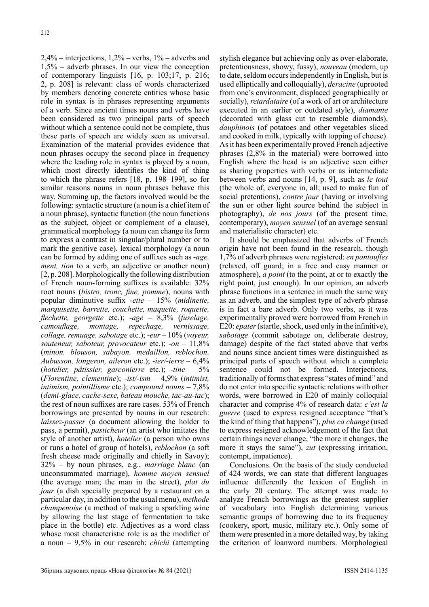$2,4\%$  – interjections,  $1,2\%$  – verbs,  $1\%$  – adverbs and 1,5% – adverb phrases. In our view the conception of contemporary linguists [16, p. 103;17, p. 216; 2, p. 208] is relevant: class of words characterized by members denoting concrete entities whose basic role in syntax is in phrases representing arguments of a verb. Since ancient times nouns and verbs have been considered as two principal parts of speech without which a sentence could not be complete, thus these parts of speech are widely seen as universal. Examination of the material provides evidence that noun phrases occupy the second place in frequency where the leading role in syntax is played by a noun, which most directly identifies the kind of thing to which the phrase refers [18, p. 198–199], so for similar reasons nouns in noun phrases behave this way. Summing up, the factors involved would be the following: syntactic structure (a noun is a chief item of a noun phrase), syntactic function (the noun functions as the subject, object or complement of a clause), grammatical morphology (a noun can change its form to express a contrast in singular/plural number or to mark the genitive case), lexical morphology (a noun can be formed by adding one of suffixes such as -*age, ment, tion* to a verb, an adjective or another noun) [2, p. 208]. Morphologically the following distribution of French noun-forming suffixes is available: 32% root nouns (*bistro, tronc, fine, pomme*), nouns with popular diminutive suffix -*ette* – 15% (*midinette, marquisette, barrette, couchette, maquette, roquette, flechette, georgette* etc.); -*age* – 8,3% (*fuselage, camouflage, montage, repechage, vernissage, collage, remuage, sabotage* etc.); -*eur* – 10% (*voyeur, souteneur, saboteur, provocateur* etc.); -*on* – 11,8% (*minon, blouson, sabayon, medaillon, reblochon, Aubusson, longeron, aileron* etc.); *-ier/-ierre* – 6,4% (*hotelier, pâtissier, garconierre* etc.); *-tine* – 5% (*Florentine, clementine*); *-ist/-ism* – 4,9% (*intimist, intimism, pointillisme* etc.); *compound nouns* – 7,8% (*demi-glace, cache-sexe, bateau mouche, tac-au-tac*); the rest of noun suffixes are rare cases. 53% of French borrowings are presented by nouns in our research: *laissez-passer* (a document allowing the holder to pass, a permit), *pasticheur* (an artist who imitates the style of another artist), *hotelier* (a person who owns or runs a hotel of group of hotels), *reblochon* (a soft fresh cheese made originally and chiefly in Savoy); 32% – by noun phrases, e.g., *marriage blanc* (an unconsummated marriage), *homme moyen sensuel* (the average man; the man in the street), *plat du jour* (a dish specially prepared by a restaurant on a particular day, in addition to the usual menu), *methode champenoise* (a method of making a sparkling wine by allowing the last stage of fermentation to take place in the bottle) etc. Adjectives as a word class whose most characteristic role is as the modifier of a noun – 9,5% in our research: *chichi* (attempting

stylish elegance but achieving only as over-elaborate, pretentiousness, showy, fussy), *nouveau* (modern, up to date, seldom occurs independently in English, but is used elliptically and colloquially), *deracine* (uprooted from one's environment, displaced geographically or socially), *retardataire* (of a work of art or architecture executed in an earlier or outdated style), *diamante* (decorated with glass cut to resemble diamonds), *dauphinois* (of potatoes and other vegetables sliced and cooked in milk, typically with topping of cheese). As it has been experimentally proved French adjective phrases (2,8% in the material) were borrowed into English where the head is an adjective seen either as sharing properties with verbs or as intermediate between verbs and nouns [14, p. 9], such as *le tout* (the whole of, everyone in, all; used to make fun of social pretentions), *contre jour* (having or involving the sun or other light source behind the subject in photography), *de nos jours* (of the present time, contemporary), *moyen sensuel* (of an average sensual and materialistic character) etc.

It should be emphasized that adverbs of French origin have not been found in the research, though 1,7% of adverb phrases were registered: *en pantoufles* (relaxed, off guard; in a free and easy manner or atmosphere), *a point* (to the point, at or to exactly the right point, just enough). In our opinion, an adverb phrase functions in a sentence in much the same way as an adverb, and the simplest type of adverb phrase is in fact a bare adverb. Only two verbs, as it was experimentally proved were borrowed from French in E20: *epater* (startle, shock, used only in the infinitive), *sabotage* (commit sabotage on, deliberate destroy, damage) despite of the fact stated above that verbs and nouns since ancient times were distinguished as principal parts of speech without which a complete sentence could not be formed. Interjections, traditionally of forms that express "states of mind" and do not enter into specific syntactic relations with other words, were borrowed in E20 of mainly colloquial character and comprise 4% of research data: *c'est la guerre* (used to express resigned acceptance "that's the kind of thing that happens"), *plus ca change* (used to express resigned acknowledgement of the fact that certain things never change, "the more it changes, the more it stays the same"), *zut* (expressing irritation, contempt, impatience).

Conclusions. On the basis of the study conducted of 424 words, we can state that different languages influence differently the lexicon of English in the early 20 century. The attempt was made to analyze French borrowings as the greatest supplier of vocabulary into English determining various semantic groups of borrowing due to its frequency (cookery, sport, music, military etc.). Only some of them were presented in a more detailed way, by taking the criterion of loanword numbers. Morphological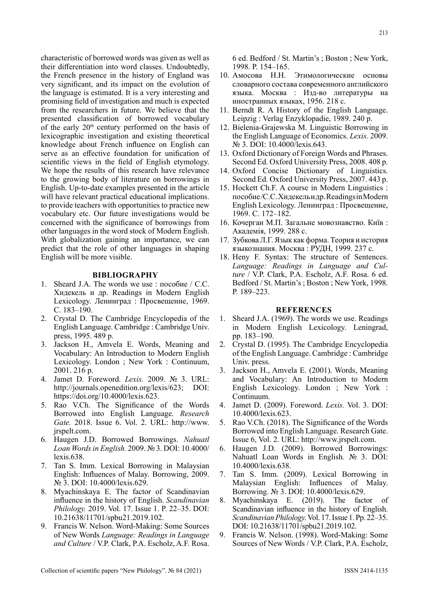characteristic of borrowed words was given as well as their differentiation into word classes. Undoubtedly, the French presence in the history of England was very significant, and its impact on the evolution of the language is estimated. It is a very interesting and promising field of investigation and much is expected from the researchers in future. We believe that the presented classification of borrowed vocabulary of the early  $20<sup>th</sup>$  century performed on the basis of lexicographic investigation and existing theoretical knowledge about French influence on English can serve as an effective foundation for unification of scientific views in the field of English etymology. We hope the results of this research have relevance to the growing body of literature on borrowings in English. Up-to-date examples presented in the article will have relevant practical educational implications. to provide teachers with opportunities to practice new vocabulary etc. Our future investigations would be concerned with the significance of borrowings from other languages in the word stock of Modern English. With globalization gaining an importance, we can predict that the role of other languages in shaping English will be more visible.

### **BIBLIOGRAPHY**

- 1. Sheard J.A. The words we use : пособие / С.С. Хидекель и др. Readings in Modern English Lexicology. Ленинград : Просвещение, 1969. C. 183–190.
- 2. Crystal D. The Cambridge Encyclopedia of the English Language. Cambridge : Cambridge Univ. press, 1995. 489 p.
- 3. Jackson H., Amvela E. Words, Meaning and Vocabulary: An Introduction to Modern English Lexicology. London ; New York : Continuum, 2001. 216 p.
- 4. Jamet D. Foreword. *Lexis.* 2009. № 3. URL: http://journals.openedition.org/lexis/623; DOI: https://doi.org/10.4000/lexis.623.
- 5. Rao V.Ch. The Significance of the Words Borrowed into English Language. *Research Gate.* 2018. Issue 6. Vol. 2. URL: http://www. irspelt.com.
- 6. Haugen J.D. Borrowed Borrowings. *Nahuatl Loan Words in English.* 2009. № 3. DOI: 10.4000/ lexis.638.
- 7. Tan S. Imm. Lexical Borrowing in Malaysian English: Influences of Malay. Borrowing, 2009. N<sup>o</sup> 3. DOI: 10.4000/lexis.629.
- 8. Myachinskaya E. The factor of Scandinavian influence in the history of English. *Scandinavian Philology.* 2019. Vol. 17. Issue 1. P. 22–35. DOI: 10.21638/11701/spbu21.2019.102.
- 9. Francis W. Nelson. Word-Making: Some Sources of New Words *Language: Readings in Language and Culture* / V.P. Clark, P.A. Escholz, A.F. Rosa.

6 ed. Bedford / St. Martin's ; Boston ; New York, 1998. P. 154–165.

- 10. Амосова Н.Н. Этимологические основы словарного состава современного английского языка. Москва : Изд-во литературы на иностранных языках, 1956. 218 с.
- 11. Berndt R. A History of the English Language. Leipzig : Verlag Enzyklopadie, 1989. 240 p.
- 12. Bielenia-Grajewska M. Linguistic Borrowing in the English Language of Economics. *Lexis.* 2009. No 3. DOI: 10.4000/lexis.643.
- 13. Oxford Dictionary of Foreign Words and Phrases. Second Ed. Oxford University Press, 2008. 408 p.
- 14. Oxford Concise Dictionary of Linguistics. Second Ed. Oxford University Press, 2007. 443 p.
- 15. Hockett Ch.F. A course in Modern Linguistics : пособие /С.С. Хидекель и др. Readings in Modern English Lexicology. Ленинград : Просвещение, 1969. С. 172–182.
- 16. Кочерган М.П. Загальне мовознавство. Київ : Академія, 1999. 288 с.
- 17. Зубкова Л.Г. Язык как форма. Теория и история языкознания. Москва : РУДН, 1999. 237 с.
- 18. Heny F. Syntax: The structure of Sentences. *Language: Readings in Language and Culture* / V.P. Clark, P.A. Escholz, A.F. Rosa. 6 ed. Bedford / St. Martin's ; Boston ; New York, 1998. P. 189–223.

#### **REFERENCES**

- 1. Sheard J.A. (1969). The words we use. Readings in Modern English Lexicology. Leningrad, pp. 183–190.
- 2. Crystal D. (1995). The Cambridge Encyclopedia of the English Language. Cambridge : Cambridge Univ. press.
- 3. Jackson H., Amvela E. (2001). Words, Meaning and Vocabulary: An Introduction to Modern English Lexicology. London ; New York : Continuum.
- 4. Jamet D. (2009). Foreword. *Lexis.* Vol. 3. DOI: 10.4000/lexis.623.
- 5. Rao V.Ch. (2018). The Significance of the Words Borrowed into English Language. Research Gate. Issue 6, Vol. 2. URL: http://www.jrspelt.com.
- 6. Haugen J.D. (2009). Borrowed Borrowings: Nahuatl Loan Words in English. № 3. DOI: 10.4000/lexis.638.
- 7. Tan S. Imm. (2009). Lexical Borrowing in Malaysian English: Influences of Malay. Borrowing. № 3. DOI: 10.4000/lexis.629.
- 8. Myachinskaya E. (2019). The factor of Scandinavian influence in the history of English. *Scandinavian Philology.* Vol. 17. Issue 1. Pp. 22–35. DOI: 10.21638/11701/spbu21.2019.102.
- 9. Francis W. Nelson. (1998). Word-Making: Some Sources of New Words / V.P. Clark, P.A. Escholz,